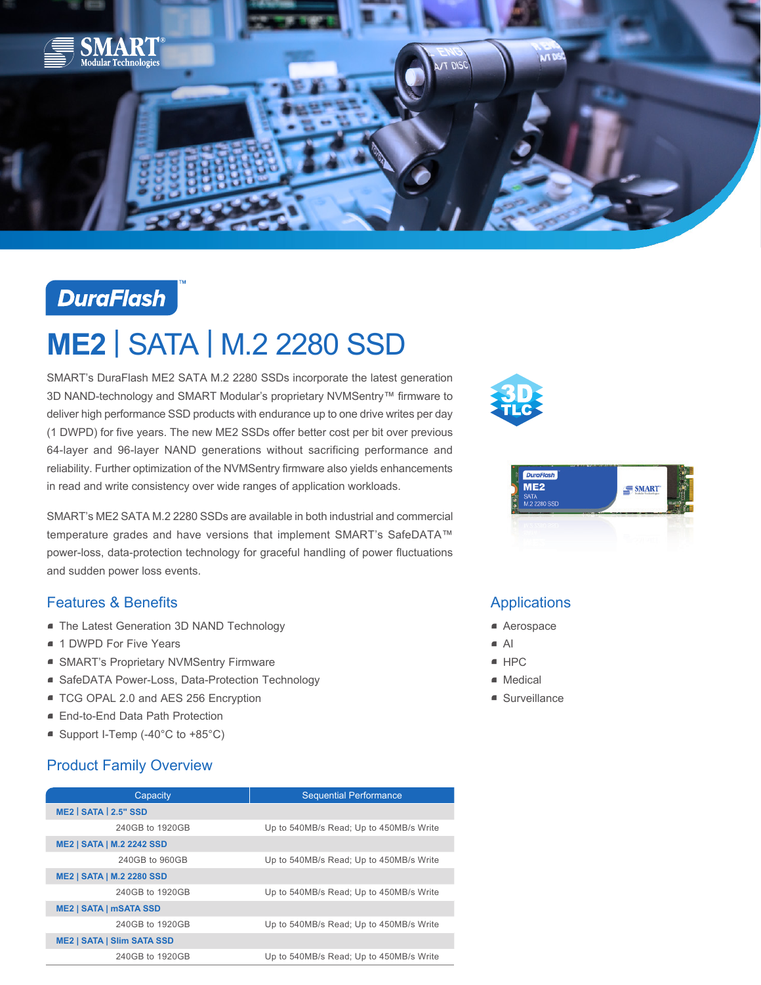

## **DuraFlash**

# **ME2** | SATA | M.2 2280 SSD

SMART's DuraFlash ME2 SATA M.2 2280 SSDs incorporate the latest generation 3D NAND-technology and SMART Modular's proprietary NVMSentry™ firmware to deliver high performance SSD products with endurance up to one drive writes per day (1 DWPD) for five years. The new ME2 SSDs offer better cost per bit over previous 64-layer and 96-layer NAND generations without sacrificing performance and reliability. Further optimization of the NVMSentry firmware also yields enhancements in read and write consistency over wide ranges of application workloads.

SMART's ME2 SATA M.2 2280 SSDs are available in both industrial and commercial temperature grades and have versions that implement SMART's SafeDATA™ power-loss, data-protection technology for graceful handling of power fluctuations and sudden power loss events.

#### Features & Benefits

- **The Latest Generation 3D NAND Technology**
- 1 DWPD For Five Years
- SMART's Proprietary NVMSentry Firmware
- SafeDATA Power-Loss, Data-Protection Technology
- TCG OPAL 2.0 and AES 256 Encryption
- End-to-End Data Path Protection
- $\blacksquare$  Support I-Temp (-40°C to +85°C)

### Product Family Overview

| Capacity                          | <b>Sequential Performance</b>           |
|-----------------------------------|-----------------------------------------|
| <b>ME2   SATA   2.5" SSD</b>      |                                         |
| 240GB to 1920GB                   | Up to 540MB/s Read; Up to 450MB/s Write |
| <b>ME2   SATA   M.2 2242 SSD</b>  |                                         |
| 240GB to 960GB                    | Up to 540MB/s Read; Up to 450MB/s Write |
| <b>ME2   SATA   M.2 2280 SSD</b>  |                                         |
| 240GB to 1920GB                   | Up to 540MB/s Read; Up to 450MB/s Write |
| <b>ME2   SATA   mSATA SSD</b>     |                                         |
| 240GB to 1920GB                   | Up to 540MB/s Read; Up to 450MB/s Write |
| <b>ME2   SATA   SIIm SATA SSD</b> |                                         |
| 240GB to 1920GB                   | Up to 540MB/s Read; Up to 450MB/s Write |





#### Applications

- Aerospace
- AI
- $e$  HPC
- Medical
- Surveillance